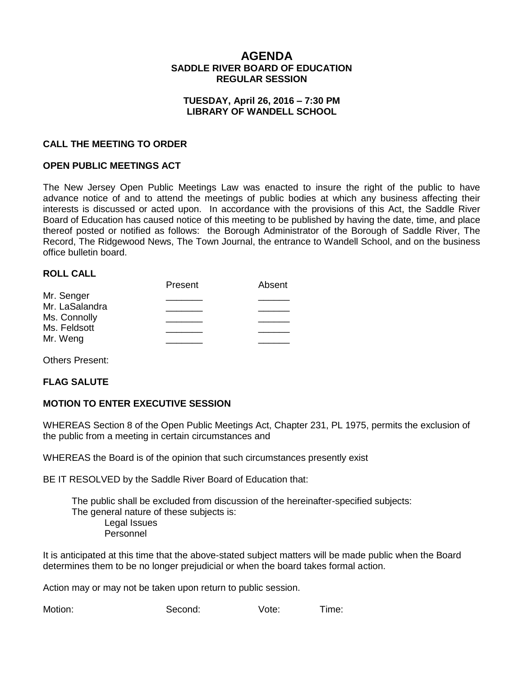## **AGENDA SADDLE RIVER BOARD OF EDUCATION REGULAR SESSION**

#### **TUESDAY, April 26, 2016 – 7:30 PM LIBRARY OF WANDELL SCHOOL**

#### **CALL THE MEETING TO ORDER**

#### **OPEN PUBLIC MEETINGS ACT**

The New Jersey Open Public Meetings Law was enacted to insure the right of the public to have advance notice of and to attend the meetings of public bodies at which any business affecting their interests is discussed or acted upon. In accordance with the provisions of this Act, the Saddle River Board of Education has caused notice of this meeting to be published by having the date, time, and place thereof posted or notified as follows: the Borough Administrator of the Borough of Saddle River, The Record, The Ridgewood News, The Town Journal, the entrance to Wandell School, and on the business office bulletin board.

#### **ROLL CALL**

|                | Present | Absent |
|----------------|---------|--------|
| Mr. Senger     |         |        |
| Mr. LaSalandra |         |        |
| Ms. Connolly   |         |        |
| Ms. Feldsott   |         |        |
| Mr. Weng       |         |        |
|                |         |        |

Others Present:

#### **FLAG SALUTE**

#### **MOTION TO ENTER EXECUTIVE SESSION**

WHEREAS Section 8 of the Open Public Meetings Act, Chapter 231, PL 1975, permits the exclusion of the public from a meeting in certain circumstances and

WHEREAS the Board is of the opinion that such circumstances presently exist

BE IT RESOLVED by the Saddle River Board of Education that:

 The public shall be excluded from discussion of the hereinafter-specified subjects: The general nature of these subjects is: Legal Issues Personnel

It is anticipated at this time that the above-stated subject matters will be made public when the Board determines them to be no longer prejudicial or when the board takes formal action.

Action may or may not be taken upon return to public session.

Motion: Second: Vote: Time: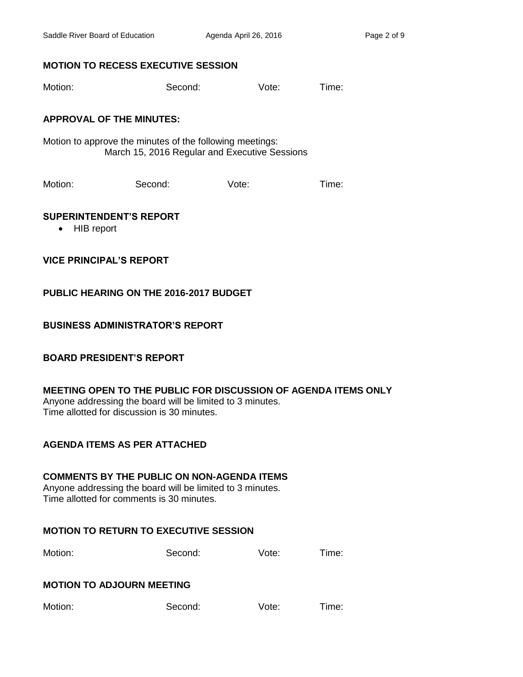## **MOTION TO RECESS EXECUTIVE SESSION**

Motion: Second: Vote: Time:

## **APPROVAL OF THE MINUTES:**

Motion to approve the minutes of the following meetings: March 15, 2016 Regular and Executive Sessions

Motion: Second: Vote: Time:

#### **SUPERINTENDENT'S REPORT**

• HIB report

**VICE PRINCIPAL'S REPORT**

## **PUBLIC HEARING ON THE 2016-2017 BUDGET**

## **BUSINESS ADMINISTRATOR'S REPORT**

### **BOARD PRESIDENT'S REPORT**

### **MEETING OPEN TO THE PUBLIC FOR DISCUSSION OF AGENDA ITEMS ONLY**

Anyone addressing the board will be limited to 3 minutes. Time allotted for discussion is 30 minutes.

# **AGENDA ITEMS AS PER ATTACHED**

### **COMMENTS BY THE PUBLIC ON NON-AGENDA ITEMS**

Anyone addressing the board will be limited to 3 minutes. Time allotted for comments is 30 minutes.

### **MOTION TO RETURN TO EXECUTIVE SESSION**

Motion: Second: Vote: Time:

### **MOTION TO ADJOURN MEETING**

| Motion: | Second: | Vote: | I ime: |
|---------|---------|-------|--------|
|---------|---------|-------|--------|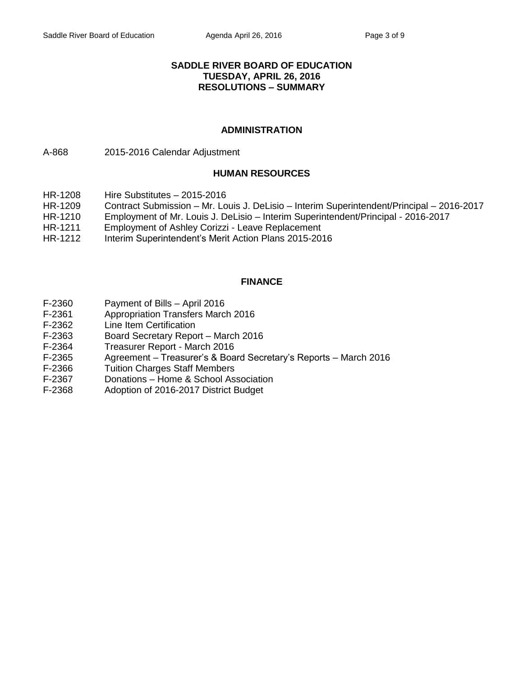#### **SADDLE RIVER BOARD OF EDUCATION TUESDAY, APRIL 26, 2016 RESOLUTIONS – SUMMARY**

#### **ADMINISTRATION**

A-868 2015-2016 Calendar Adjustment

#### **HUMAN RESOURCES**

- HR-1208 Hire Substitutes 2015-2016
- HR-1209 Contract Submission Mr. Louis J. DeLisio Interim Superintendent/Principal 2016-2017
- HR-1210 Employment of Mr. Louis J. DeLisio Interim Superintendent/Principal 2016-2017
- HR-1211 Employment of Ashley Corizzi Leave Replacement
- HR-1212 Interim Superintendent's Merit Action Plans 2015-2016

#### **FINANCE**

- F-2360 Payment of Bills April 2016
- F-2361 Appropriation Transfers March 2016
- F-2362 Line Item Certification
- F-2363 Board Secretary Report March 2016
- F-2364 Treasurer Report March 2016
- F-2365 Agreement Treasurer's & Board Secretary's Reports March 2016
- F-2366 Tuition Charges Staff Members
- F-2367 Donations Home & School Association
- F-2368 Adoption of 2016-2017 District Budget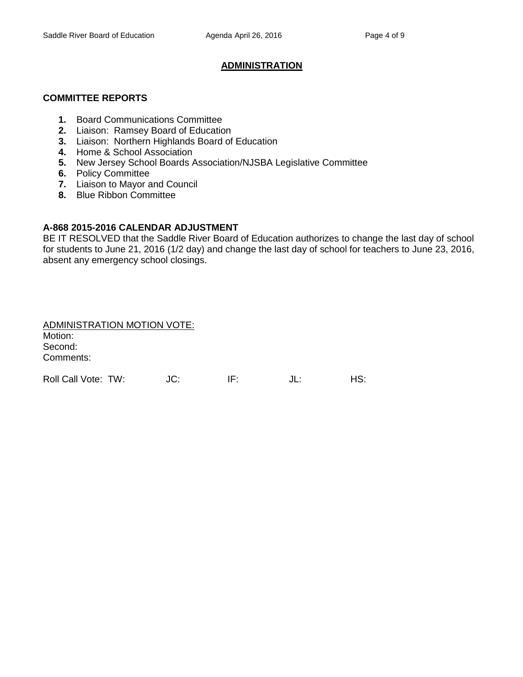#### **ADMINISTRATION**

#### **COMMITTEE REPORTS**

- **1.** Board Communications Committee
- **2.** Liaison: Ramsey Board of Education
- **3.** Liaison: Northern Highlands Board of Education
- **4.** Home & School Association
- **5.** New Jersey School Boards Association/NJSBA Legislative Committee
- **6.** Policy Committee
- **7.** Liaison to Mayor and Council
- **8.** Blue Ribbon Committee

#### **A-868 2015-2016 CALENDAR ADJUSTMENT**

BE IT RESOLVED that the Saddle River Board of Education authorizes to change the last day of school for students to June 21, 2016 (1/2 day) and change the last day of school for teachers to June 23, 2016, absent any emergency school closings.

| ADMINISTRATION MOTION VOTE: |     |     |     |     |
|-----------------------------|-----|-----|-----|-----|
| Motion:                     |     |     |     |     |
| Second:                     |     |     |     |     |
| Comments:                   |     |     |     |     |
|                             |     |     |     |     |
| Roll Call Vote: TW:         | JC: | IF. | JL: | HS: |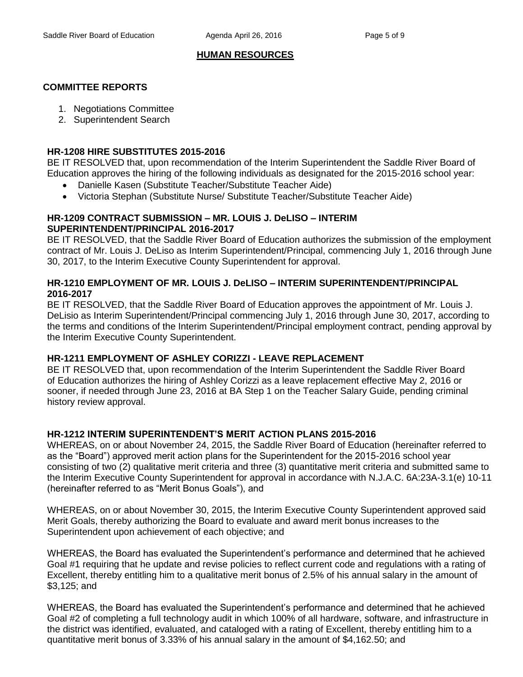## **HUMAN RESOURCES**

## **COMMITTEE REPORTS**

- 1. Negotiations Committee
- 2. Superintendent Search

### **HR-1208 HIRE SUBSTITUTES 2015-2016**

BE IT RESOLVED that, upon recommendation of the Interim Superintendent the Saddle River Board of Education approves the hiring of the following individuals as designated for the 2015-2016 school year:

- Danielle Kasen (Substitute Teacher/Substitute Teacher Aide)
- Victoria Stephan (Substitute Nurse/ Substitute Teacher/Substitute Teacher Aide)

### **HR-1209 CONTRACT SUBMISSION – MR. LOUIS J. DeLISO – INTERIM SUPERINTENDENT/PRINCIPAL 2016-2017**

BE IT RESOLVED, that the Saddle River Board of Education authorizes the submission of the employment contract of Mr. Louis J. DeLiso as Interim Superintendent/Principal, commencing July 1, 2016 through June 30, 2017, to the Interim Executive County Superintendent for approval.

## **HR-1210 EMPLOYMENT OF MR. LOUIS J. DeLISO – INTERIM SUPERINTENDENT/PRINCIPAL 2016-2017**

BE IT RESOLVED, that the Saddle River Board of Education approves the appointment of Mr. Louis J. DeLisio as Interim Superintendent/Principal commencing July 1, 2016 through June 30, 2017, according to the terms and conditions of the Interim Superintendent/Principal employment contract, pending approval by the Interim Executive County Superintendent.

### **HR-1211 EMPLOYMENT OF ASHLEY CORIZZI - LEAVE REPLACEMENT**

BE IT RESOLVED that, upon recommendation of the Interim Superintendent the Saddle River Board of Education authorizes the hiring of Ashley Corizzi as a leave replacement effective May 2, 2016 or sooner, if needed through June 23, 2016 at BA Step 1 on the Teacher Salary Guide, pending criminal history review approval.

### **HR-1212 INTERIM SUPERINTENDENT'S MERIT ACTION PLANS 2015-2016**

WHEREAS, on or about November 24, 2015, the Saddle River Board of Education (hereinafter referred to as the "Board") approved merit action plans for the Superintendent for the 2015-2016 school year consisting of two (2) qualitative merit criteria and three (3) quantitative merit criteria and submitted same to the Interim Executive County Superintendent for approval in accordance with N.J.A.C. 6A:23A-3.1(e) 10-11 (hereinafter referred to as "Merit Bonus Goals"), and

WHEREAS, on or about November 30, 2015, the Interim Executive County Superintendent approved said Merit Goals, thereby authorizing the Board to evaluate and award merit bonus increases to the Superintendent upon achievement of each objective; and

WHEREAS, the Board has evaluated the Superintendent's performance and determined that he achieved Goal #1 requiring that he update and revise policies to reflect current code and regulations with a rating of Excellent, thereby entitling him to a qualitative merit bonus of 2.5% of his annual salary in the amount of \$3,125; and

WHEREAS, the Board has evaluated the Superintendent's performance and determined that he achieved Goal #2 of completing a full technology audit in which 100% of all hardware, software, and infrastructure in the district was identified, evaluated, and cataloged with a rating of Excellent, thereby entitling him to a quantitative merit bonus of 3.33% of his annual salary in the amount of \$4,162.50; and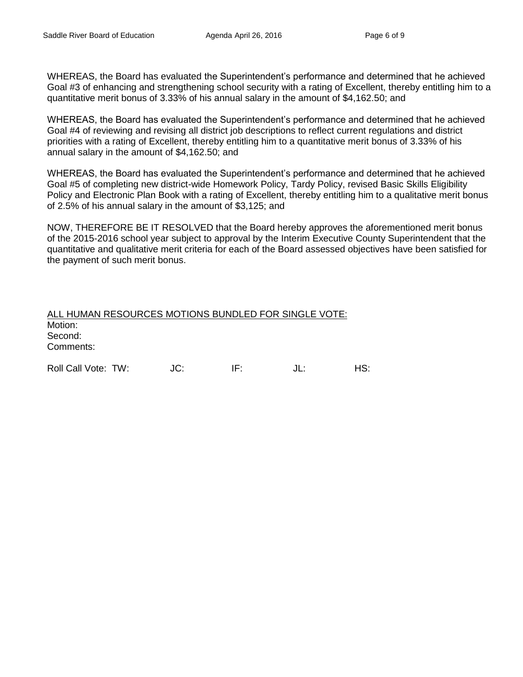WHEREAS, the Board has evaluated the Superintendent's performance and determined that he achieved Goal #3 of enhancing and strengthening school security with a rating of Excellent, thereby entitling him to a quantitative merit bonus of 3.33% of his annual salary in the amount of \$4,162.50; and

WHEREAS, the Board has evaluated the Superintendent's performance and determined that he achieved Goal #4 of reviewing and revising all district job descriptions to reflect current regulations and district priorities with a rating of Excellent, thereby entitling him to a quantitative merit bonus of 3.33% of his annual salary in the amount of \$4,162.50; and

WHEREAS, the Board has evaluated the Superintendent's performance and determined that he achieved Goal #5 of completing new district-wide Homework Policy, Tardy Policy, revised Basic Skills Eligibility Policy and Electronic Plan Book with a rating of Excellent, thereby entitling him to a qualitative merit bonus of 2.5% of his annual salary in the amount of \$3,125; and

NOW, THEREFORE BE IT RESOLVED that the Board hereby approves the aforementioned merit bonus of the 2015-2016 school year subject to approval by the Interim Executive County Superintendent that the quantitative and qualitative merit criteria for each of the Board assessed objectives have been satisfied for the payment of such merit bonus.

| ALL HUMAN RESOURCES MOTIONS BUNDLED FOR SINGLE VOTE: |     |     |     |
|------------------------------------------------------|-----|-----|-----|
| Motion:                                              |     |     |     |
| Second:                                              |     |     |     |
| Comments:                                            |     |     |     |
| Roll Call Vote: TW:                                  | JC: | IF۰ | ⊣S: |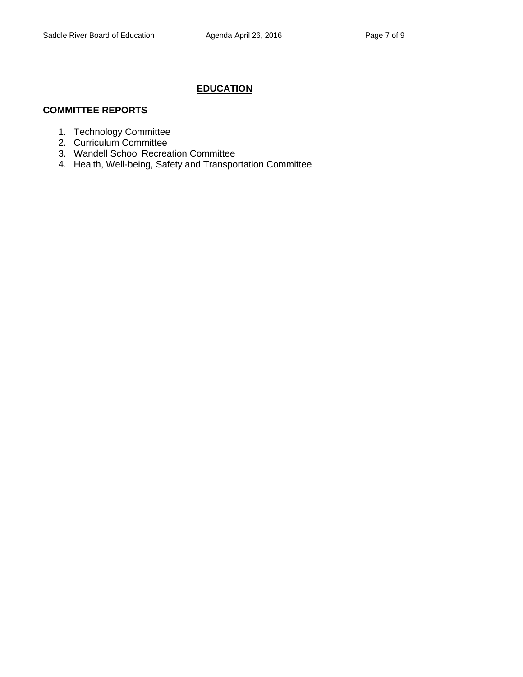## **EDUCATION**

## **COMMITTEE REPORTS**

- 1. Technology Committee
- 2. Curriculum Committee
- 3. Wandell School Recreation Committee
- 4. Health, Well-being, Safety and Transportation Committee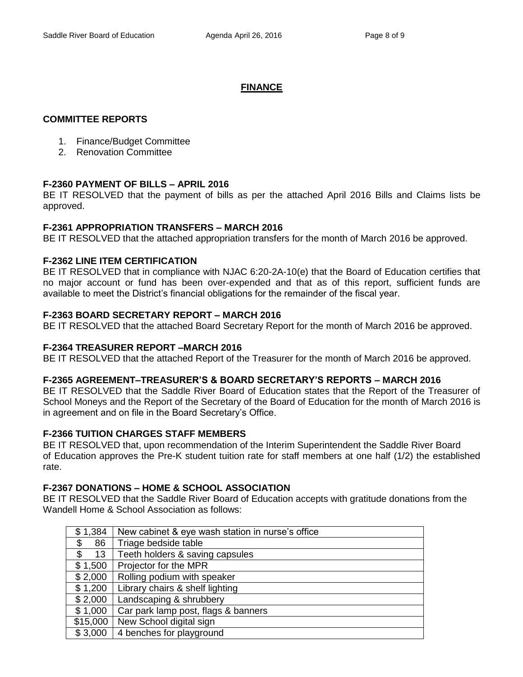## **FINANCE**

## **COMMITTEE REPORTS**

- 1. Finance/Budget Committee
- 2. Renovation Committee

## **F-2360 PAYMENT OF BILLS – APRIL 2016**

BE IT RESOLVED that the payment of bills as per the attached April 2016 Bills and Claims lists be approved.

## **F-2361 APPROPRIATION TRANSFERS – MARCH 2016**

BE IT RESOLVED that the attached appropriation transfers for the month of March 2016 be approved.

## **F-2362 LINE ITEM CERTIFICATION**

BE IT RESOLVED that in compliance with NJAC 6:20-2A-10(e) that the Board of Education certifies that no major account or fund has been over-expended and that as of this report, sufficient funds are available to meet the District's financial obligations for the remainder of the fiscal year.

## **F-2363 BOARD SECRETARY REPORT – MARCH 2016**

BE IT RESOLVED that the attached Board Secretary Report for the month of March 2016 be approved.

## **F-2364 TREASURER REPORT –MARCH 2016**

BE IT RESOLVED that the attached Report of the Treasurer for the month of March 2016 be approved.

### **F-2365 AGREEMENT–TREASURER'S & BOARD SECRETARY'S REPORTS – MARCH 2016**

BE IT RESOLVED that the Saddle River Board of Education states that the Report of the Treasurer of School Moneys and the Report of the Secretary of the Board of Education for the month of March 2016 is in agreement and on file in the Board Secretary's Office.

### **F-2366 TUITION CHARGES STAFF MEMBERS**

BE IT RESOLVED that, upon recommendation of the Interim Superintendent the Saddle River Board of Education approves the Pre-K student tuition rate for staff members at one half (1/2) the established rate.

### **F-2367 DONATIONS – HOME & SCHOOL ASSOCIATION**

BE IT RESOLVED that the Saddle River Board of Education accepts with gratitude donations from the Wandell Home & School Association as follows:

| \$1,384  | New cabinet & eye wash station in nurse's office |
|----------|--------------------------------------------------|
| 86<br>\$ | Triage bedside table                             |
| \$<br>13 | Teeth holders & saving capsules                  |
| \$1,500  | Projector for the MPR                            |
| \$2,000  | Rolling podium with speaker                      |
| \$1,200  | Library chairs & shelf lighting                  |
| \$2,000  | Landscaping & shrubbery                          |
| \$1,000  | Car park lamp post, flags & banners              |
| \$15,000 | New School digital sign                          |
| \$3,000  | 4 benches for playground                         |
|          |                                                  |